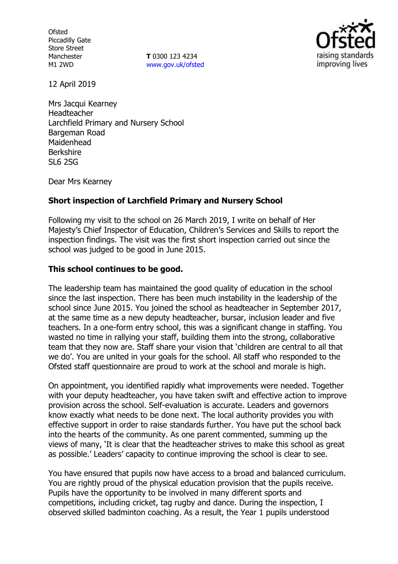**Ofsted** Piccadilly Gate Store Street Manchester M1 2WD

**T** 0300 123 4234 www.gov.uk/ofsted



12 April 2019

Mrs Jacqui Kearney Headteacher Larchfield Primary and Nursery School Bargeman Road Maidenhead Berkshire SL6 2SG

Dear Mrs Kearney

# **Short inspection of Larchfield Primary and Nursery School**

Following my visit to the school on 26 March 2019, I write on behalf of Her Majesty's Chief Inspector of Education, Children's Services and Skills to report the inspection findings. The visit was the first short inspection carried out since the school was judged to be good in June 2015.

### **This school continues to be good.**

The leadership team has maintained the good quality of education in the school since the last inspection. There has been much instability in the leadership of the school since June 2015. You joined the school as headteacher in September 2017, at the same time as a new deputy headteacher, bursar, inclusion leader and five teachers. In a one-form entry school, this was a significant change in staffing. You wasted no time in rallying your staff, building them into the strong, collaborative team that they now are. Staff share your vision that 'children are central to all that we do'. You are united in your goals for the school. All staff who responded to the Ofsted staff questionnaire are proud to work at the school and morale is high.

On appointment, you identified rapidly what improvements were needed. Together with your deputy headteacher, you have taken swift and effective action to improve provision across the school. Self-evaluation is accurate. Leaders and governors know exactly what needs to be done next. The local authority provides you with effective support in order to raise standards further. You have put the school back into the hearts of the community. As one parent commented, summing up the views of many, 'It is clear that the headteacher strives to make this school as great as possible.' Leaders' capacity to continue improving the school is clear to see.

You have ensured that pupils now have access to a broad and balanced curriculum. You are rightly proud of the physical education provision that the pupils receive. Pupils have the opportunity to be involved in many different sports and competitions, including cricket, tag rugby and dance. During the inspection, I observed skilled badminton coaching. As a result, the Year 1 pupils understood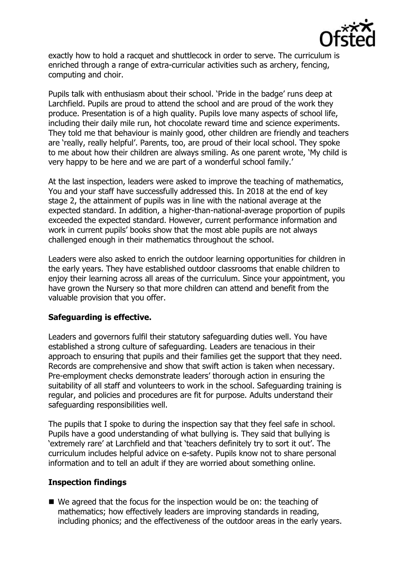

exactly how to hold a racquet and shuttlecock in order to serve. The curriculum is enriched through a range of extra-curricular activities such as archery, fencing, computing and choir.

Pupils talk with enthusiasm about their school. 'Pride in the badge' runs deep at Larchfield. Pupils are proud to attend the school and are proud of the work they produce. Presentation is of a high quality. Pupils love many aspects of school life, including their daily mile run, hot chocolate reward time and science experiments. They told me that behaviour is mainly good, other children are friendly and teachers are 'really, really helpful'. Parents, too, are proud of their local school. They spoke to me about how their children are always smiling. As one parent wrote, 'My child is very happy to be here and we are part of a wonderful school family.'

At the last inspection, leaders were asked to improve the teaching of mathematics, You and your staff have successfully addressed this. In 2018 at the end of key stage 2, the attainment of pupils was in line with the national average at the expected standard. In addition, a higher-than-national-average proportion of pupils exceeded the expected standard. However, current performance information and work in current pupils' books show that the most able pupils are not always challenged enough in their mathematics throughout the school.

Leaders were also asked to enrich the outdoor learning opportunities for children in the early years. They have established outdoor classrooms that enable children to enjoy their learning across all areas of the curriculum. Since your appointment, you have grown the Nursery so that more children can attend and benefit from the valuable provision that you offer.

#### **Safeguarding is effective.**

Leaders and governors fulfil their statutory safeguarding duties well. You have established a strong culture of safeguarding. Leaders are tenacious in their approach to ensuring that pupils and their families get the support that they need. Records are comprehensive and show that swift action is taken when necessary. Pre-employment checks demonstrate leaders' thorough action in ensuring the suitability of all staff and volunteers to work in the school. Safeguarding training is regular, and policies and procedures are fit for purpose. Adults understand their safeguarding responsibilities well.

The pupils that I spoke to during the inspection say that they feel safe in school. Pupils have a good understanding of what bullying is. They said that bullying is 'extremely rare' at Larchfield and that 'teachers definitely try to sort it out'. The curriculum includes helpful advice on e-safety. Pupils know not to share personal information and to tell an adult if they are worried about something online.

#### **Inspection findings**

 We agreed that the focus for the inspection would be on: the teaching of mathematics; how effectively leaders are improving standards in reading, including phonics; and the effectiveness of the outdoor areas in the early years.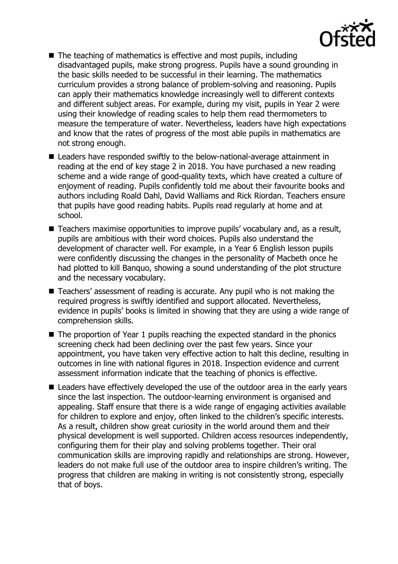

- $\blacksquare$  The teaching of mathematics is effective and most pupils, including disadvantaged pupils, make strong progress. Pupils have a sound grounding in the basic skills needed to be successful in their learning. The mathematics curriculum provides a strong balance of problem-solving and reasoning. Pupils can apply their mathematics knowledge increasingly well to different contexts and different subject areas. For example, during my visit, pupils in Year 2 were using their knowledge of reading scales to help them read thermometers to measure the temperature of water. Nevertheless, leaders have high expectations and know that the rates of progress of the most able pupils in mathematics are not strong enough.
- Leaders have responded swiftly to the below-national-average attainment in reading at the end of key stage 2 in 2018. You have purchased a new reading scheme and a wide range of good-quality texts, which have created a culture of enjoyment of reading. Pupils confidently told me about their favourite books and authors including Roald Dahl, David Walliams and Rick Riordan. Teachers ensure that pupils have good reading habits. Pupils read regularly at home and at school.
- Teachers maximise opportunities to improve pupils' vocabulary and, as a result, pupils are ambitious with their word choices. Pupils also understand the development of character well. For example, in a Year 6 English lesson pupils were confidently discussing the changes in the personality of Macbeth once he had plotted to kill Banquo, showing a sound understanding of the plot structure and the necessary vocabulary.
- Teachers' assessment of reading is accurate. Any pupil who is not making the required progress is swiftly identified and support allocated. Nevertheless, evidence in pupils' books is limited in showing that they are using a wide range of comprehension skills.
- The proportion of Year 1 pupils reaching the expected standard in the phonics screening check had been declining over the past few years. Since your appointment, you have taken very effective action to halt this decline, resulting in outcomes in line with national figures in 2018. Inspection evidence and current assessment information indicate that the teaching of phonics is effective.
- Leaders have effectively developed the use of the outdoor area in the early years since the last inspection. The outdoor-learning environment is organised and appealing. Staff ensure that there is a wide range of engaging activities available for children to explore and enjoy, often linked to the children's specific interests. As a result, children show great curiosity in the world around them and their physical development is well supported. Children access resources independently, configuring them for their play and solving problems together. Their oral communication skills are improving rapidly and relationships are strong. However, leaders do not make full use of the outdoor area to inspire children's writing. The progress that children are making in writing is not consistently strong, especially that of boys.